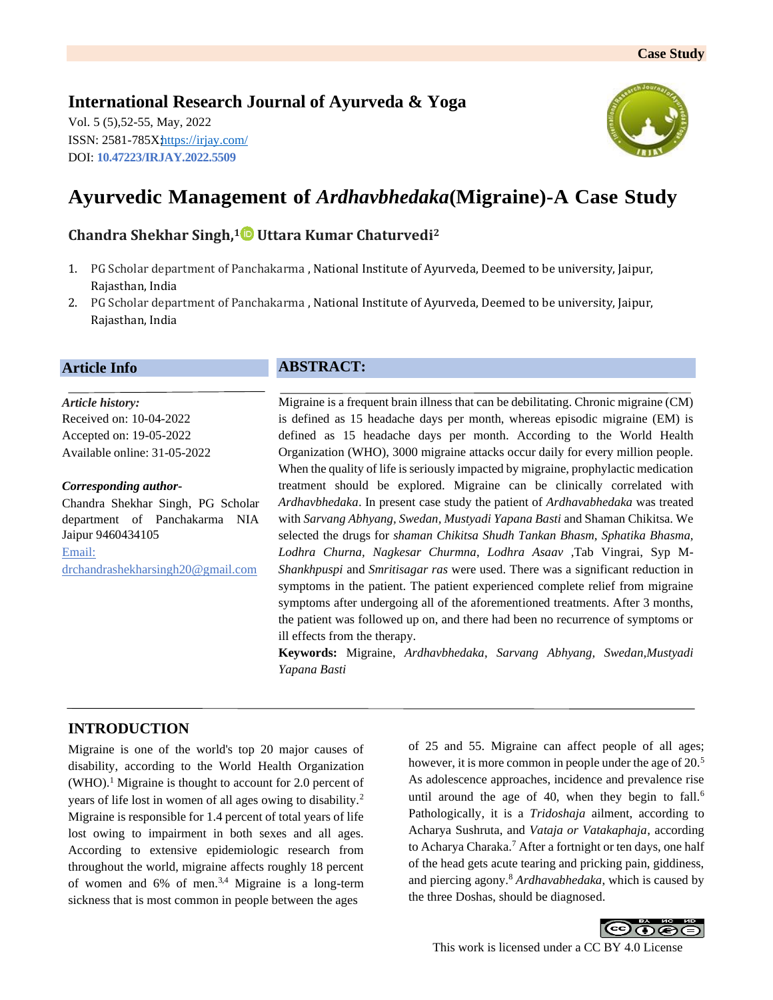# **International Research Journal of Ayurveda & Yoga**

Vol. 5 (5),52-55, May, 2022 ISSN: 2581-785Xhttps://[irjay.com/](https://irjay.com/) DOI: **10.47223/IRJAY.2022.5509**



# **Ayurvedic Management of** *[Ardhavbhedaka](https://www.researchgate.net/publication/324246803_AYURVEDIC_MANAGEMENT_OF_MIGRAINE-A_CASE_STUDY?enrichId=rgreq-aa9ea1e123de7e00852bc1bc1c607a15-XXX&enrichSource=Y292ZXJQYWdlOzMyNDI0NjgwMztBUzo2MTIzMDA2Mzc2MTgxNzZAMTUyMjk5NTI1NjM1OA%3D%3D&el=1_x_3&_esc=publicationCoverPdf)***(Migraine)-A Case Study**

### **Chandra Shekhar Singh, <sup>1</sup> Uttara Kumar Chaturvedi<sup>2</sup>**

- 1. PG Scholar department of Panchakarma , National Institute of Ayurveda, Deemed to be university, Jaipur, Rajasthan, India
- 2. PG Scholar department of Panchakarma , National Institute of Ayurveda, Deemed to be university, Jaipur, Rajasthan, India

### **Article Info**

*Article history:* Received on: 10-04-2022 Accepted on: 19-05-2022 Available online: 31-05-2022

#### *Corresponding author-*

Chandra Shekhar Singh, PG Scholar department of Panchakarma NIA Jaipur 9460434105 Email: drchandrashekharsingh20@gmail.com

# **ABSTRACT:**

Migraine is a frequent brain illness that can be debilitating. Chronic migraine (CM) is defined as 15 headache days per month, whereas episodic migraine (EM) is defined as 15 headache days per month. According to the World Health Organization (WHO), 3000 migraine attacks occur daily for every million people. When the quality of life is seriously impacted by migraine, prophylactic medication treatment should be explored. Migraine can be clinically correlated with *Ardhavbhedaka*. In present case study the patient of *Ardhavabhedaka* was treated with *Sarvang Abhyang, Swedan, Mustyadi Yapana Basti* and Shaman Chikitsa. We selected the drugs for *shaman Chikitsa Shudh Tankan Bhasm, Sphatika Bhasma, Lodhra Churna, Nagkesar Churmna*, *Lodhra Asaav* ,Tab Vingrai, Syp M-*Shankhpuspi* and *Smritisagar ras* were used. There was a significant reduction in symptoms in the patient. The patient experienced complete relief from migraine symptoms after undergoing all of the aforementioned treatments. After 3 months, the patient was followed up on, and there had been no recurrence of symptoms or ill effects from the therapy.

**Keywords:** Migraine, *Ardhavbhedaka*, *Sarvang Abhyang, Swedan,Mustyadi Yapana Basti*

# **INTRODUCTION**

Migraine is one of the world's top 20 major causes of disability, according to the World Health Organization  $(WHO)$ <sup>1</sup>. Migraine is thought to account for 2.0 percent of years of life lost in women of all ages owing to disability.<sup>2</sup> Migraine is responsible for 1.4 percent of total years of life lost owing to impairment in both sexes and all ages. According to extensive epidemiologic research from throughout the world, migraine affects roughly 18 percent of women and  $6\%$  of men.<sup>3,4</sup> Migraine is a long-term sickness that is most common in people between the ages

of 25 and 55. Migraine can affect people of all ages; however, it is more common in people under the age of 20.<sup>5</sup> As adolescence approaches, incidence and prevalence rise until around the age of 40, when they begin to fall.<sup>6</sup> Pathologically, it is a *Tridoshaja* ailment, according to Acharya Sushruta, and *Vataja or Vatakaphaja*, according to Acharya Charaka.<sup>7</sup> After a fortnight or ten days, one half of the head gets acute tearing and pricking pain, giddiness, and piercing agony.<sup>8</sup> *Ardhavabhedaka*, which is caused by the three Doshas, should be diagnosed.

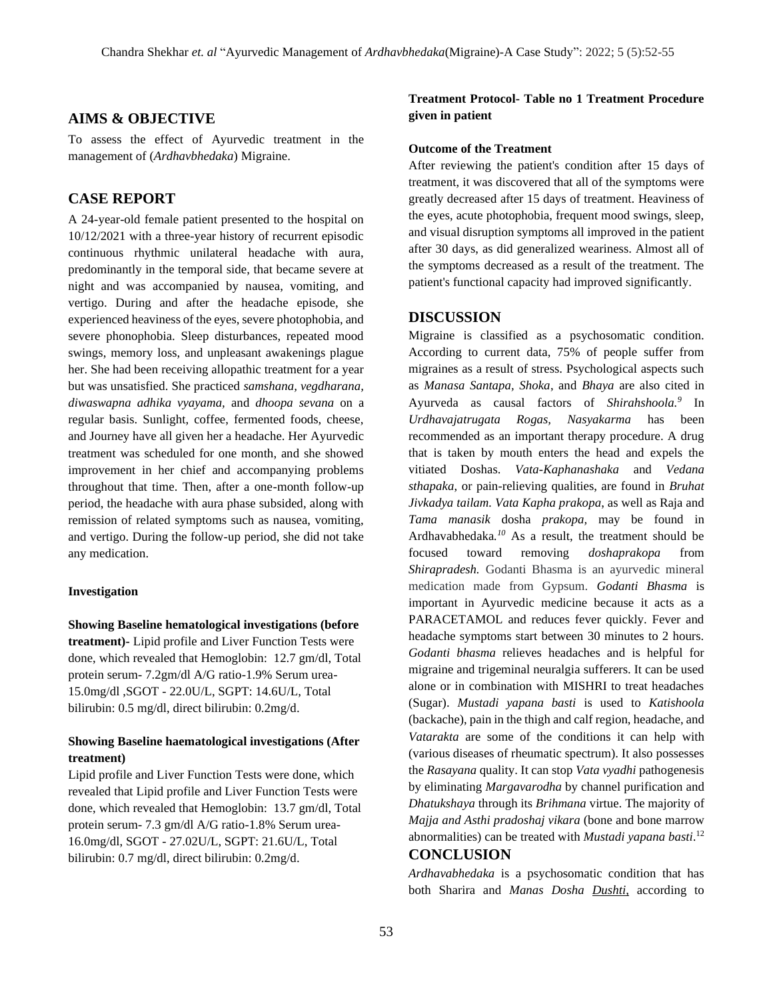#### **AIMS & OBJECTIVE**

To assess the effect of Ayurvedic treatment in the management of (*Ardhavbhedaka*) Migraine.

### **CASE REPORT**

A 24-year-old female patient presented to the hospital on 10/12/2021 with a three-year history of recurrent episodic continuous rhythmic unilateral headache with aura, predominantly in the temporal side, that became severe at night and was accompanied by nausea, vomiting, and vertigo. During and after the headache episode, she experienced heaviness of the eyes, severe photophobia, and severe phonophobia. Sleep disturbances, repeated mood swings, memory loss, and unpleasant awakenings plague her. She had been receiving allopathic treatment for a year but was unsatisfied. She practiced *samshana, vegdharana, diwaswapna adhika vyayama,* and *dhoopa sevana* on a regular basis. Sunlight, coffee, fermented foods, cheese, and Journey have all given her a headache. Her Ayurvedic treatment was scheduled for one month, and she showed improvement in her chief and accompanying problems throughout that time. Then, after a one-month follow-up period, the headache with aura phase subsided, along with remission of related symptoms such as nausea, vomiting, and vertigo. During the follow-up period, she did not take any medication.

#### **Investigation**

**Showing Baseline hematological investigations (before treatment)-** Lipid profile and Liver Function Tests were done, which revealed that Hemoglobin: 12.7 gm/dl, Total protein serum- 7.2gm/dl A/G ratio-1.9% Serum urea-15.0mg/dl ,SGOT - 22.0U/L, SGPT: 14.6U/L, Total bilirubin: 0.5 mg/dl, direct bilirubin: 0.2mg/d.

### **Showing Baseline haematological investigations (After treatment)**

Lipid profile and Liver Function Tests were done, which revealed that Lipid profile and Liver Function Tests were done, which revealed that Hemoglobin: 13.7 gm/dl, Total protein serum- 7.3 gm/dl A/G ratio-1.8% Serum urea-16.0mg/dl, SGOT - 27.02U/L, SGPT: 21.6U/L, Total bilirubin: 0.7 mg/dl, direct bilirubin: 0.2mg/d.

### **Treatment Protocol- Table no 1 Treatment Procedure given in patient**

#### **Outcome of the Treatment**

After reviewing the patient's condition after 15 days of treatment, it was discovered that all of the symptoms were greatly decreased after 15 days of treatment. Heaviness of the eyes, acute photophobia, frequent mood swings, sleep, and visual disruption symptoms all improved in the patient after 30 days, as did generalized weariness. Almost all of the symptoms decreased as a result of the treatment. The patient's functional capacity had improved significantly.

#### **DISCUSSION**

Migraine is classified as a psychosomatic condition. According to current data, 75% of people suffer from migraines as a result of stress. Psychological aspects such as *Manasa Santapa, Shoka*, and *Bhaya* are also cited in Ayurveda as causal factors of *Shirahshoola.<sup>9</sup>* In *Urdhavajatrugata Rogas, Nasyakarma* has been recommended as an important therapy procedure. A drug that is taken by mouth enters the head and expels the vitiated Doshas. *Vata-Kaphanashaka* and *Vedana sthapaka*, or pain-relieving qualities, are found in *Bruhat Jivkadya tailam. Vata Kapha prakopa*, as well as Raja and *Tama manasik* dosha *prakopa,* may be found in Ardhavabhedaka*. <sup>10</sup>* As a result, the treatment should be focused toward removing *doshaprakopa* from *Shirapradesh.* Godanti Bhasma is an ayurvedic mineral medication made from Gypsum. *Godanti Bhasma* is important in Ayurvedic medicine because it acts as a PARACETAMOL and reduces fever quickly. Fever and headache symptoms start between 30 minutes to 2 hours. *Godanti bhasma* relieves headaches and is helpful for migraine and trigeminal neuralgia sufferers. It can be used alone or in combination with MISHRI to treat headaches (Sugar). *Mustadi yapana basti* is used to *Katishoola* (backache), pain in the thigh and calf region, headache, and *Vatarakta* are some of the conditions it can help with (various diseases of rheumatic spectrum). It also possesses the *Rasayana* quality. It can stop *Vata vyadhi* pathogenesis by eliminating *Margavarodha* by channel purification and *Dhatukshaya* through its *Brihmana* virtue. The majority of *Majja and Asthi pradoshaj vikara* (bone and bone marrow abnormalities) can be treated with *Mustadi yapana basti*. 12

### **CONCLUSION**

*Ardhavabhedaka* is a psychosomatic condition that has both Sharira and *Manas Dosha Dushti*, according to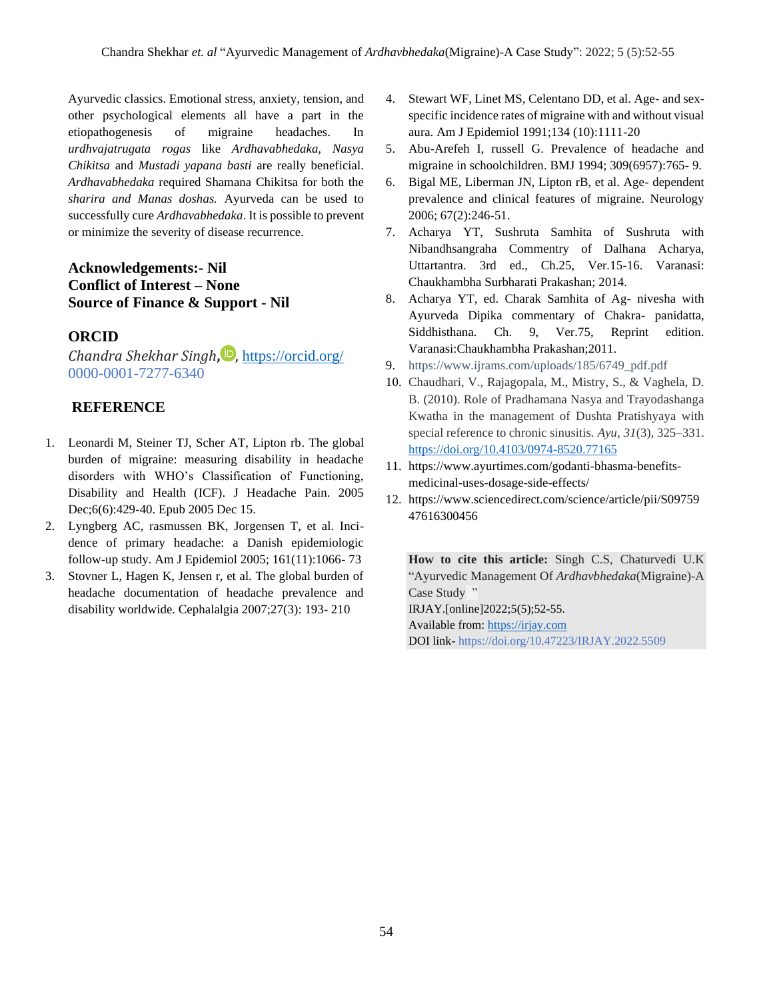Ayurvedic classics. Emotional stress, anxiety, tension, and other psychological elements all have a part in the etiopathogenesis of migraine headaches. In *urdhvajatrugata rogas* like *Ardhavabhedaka, Nasya Chikitsa* and *Mustadi yapana basti* are really beneficial. *Ardhavabhedaka* required Shamana Chikitsa for both the *sharira and Manas doshas.* Ayurveda can be used to successfully cure *Ardhavabhedaka*. It is possible to prevent or minimize the severity of disease recurrence.

# **Acknowledgements:- Nil Conflict of Interest – None Source of Finance & Support - Nil**

# **ORCID**

*Chandra Shekhar Singh***,** , <https://orcid.org/> 0000-0001-7277-6340

# **REFERENCE**

- 1. Leonardi M, Steiner TJ, Scher AT, Lipton rb. The global burden of migraine: measuring disability in headache disorders with WHO's Classification of Functioning, Disability and Health (ICF). J Headache Pain. 2005 Dec;6(6):429-40. Epub 2005 Dec 15.
- 2. Lyngberg AC, rasmussen BK, Jorgensen T, et al. Incidence of primary headache: a Danish epidemiologic follow-up study. Am J Epidemiol 2005; 161(11):1066- 73
- 3. Stovner L, Hagen K, Jensen r, et al. The global burden of headache documentation of headache prevalence and disability worldwide. Cephalalgia 2007;27(3): 193- 210
- 4. Stewart WF, Linet MS, Celentano DD, et al. Age- and sexspecific incidence rates of migraine with and without visual aura. Am J Epidemiol 1991;134 (10):1111-20
- 5. Abu-Arefeh I, russell G. Prevalence of headache and migraine in schoolchildren. BMJ 1994; 309(6957):765- 9.
- 6. Bigal ME, Liberman JN, Lipton rB, et al. Age- dependent prevalence and clinical features of migraine. Neurology 2006; 67(2):246-51.
- 7. Acharya YT, Sushruta Samhita of Sushruta with Nibandhsangraha Commentry of Dalhana Acharya, Uttartantra. 3rd ed., Ch.25, Ver.15-16. Varanasi: Chaukhambha Surbharati Prakashan; 2014.
- 8. Acharya YT, ed. Charak Samhita of Ag- nivesha with Ayurveda Dipika commentary of Chakra- panidatta, Siddhisthana. Ch. 9, Ver.75, Reprint edition. Varanasi:Chaukhambha Prakashan;2011.
- 9. [https://www.ijrams.com/uploads/185/6749\\_pdf.pdf](https://www.ijrams.com/uploads/185/6749_pdf.pdf)
- 10. Chaudhari, V., Rajagopala, M., Mistry, S., & Vaghela, D. B. (2010). Role of Pradhamana Nasya and Trayodashanga Kwatha in the management of Dushta Pratishyaya with special reference to chronic sinusitis. *Ayu*, *31*(3), 325–331. <https://doi.org/10.4103/0974-8520.77165>
- 11. [https://www.ayurtimes.com/godanti-bhasma-benefits](https://www.ayurtimes.com/godanti-bhasma-benefits-medicinal-uses-dosage-side-effects/)[medicinal-uses-dosage-side-effects/](https://www.ayurtimes.com/godanti-bhasma-benefits-medicinal-uses-dosage-side-effects/)
- 12. [https://www.sciencedirect.com/science/article/pii/S09759](https://www.sciencedirect.com/science/article/pii/S0975947616300456) [47616300456](https://www.sciencedirect.com/science/article/pii/S0975947616300456)

**How to cite this article:** Singh C.S, Chaturvedi U.K "Ayurvedic Management Of *Ardhavbhedaka*(Migraine)-A Case Study " IRJAY.[online]2022;5(5);52-55. Available from[: https://irjay.com](https://irjay.com/) DOI link- https://doi.org/10.47223/IRJAY.2022.5509